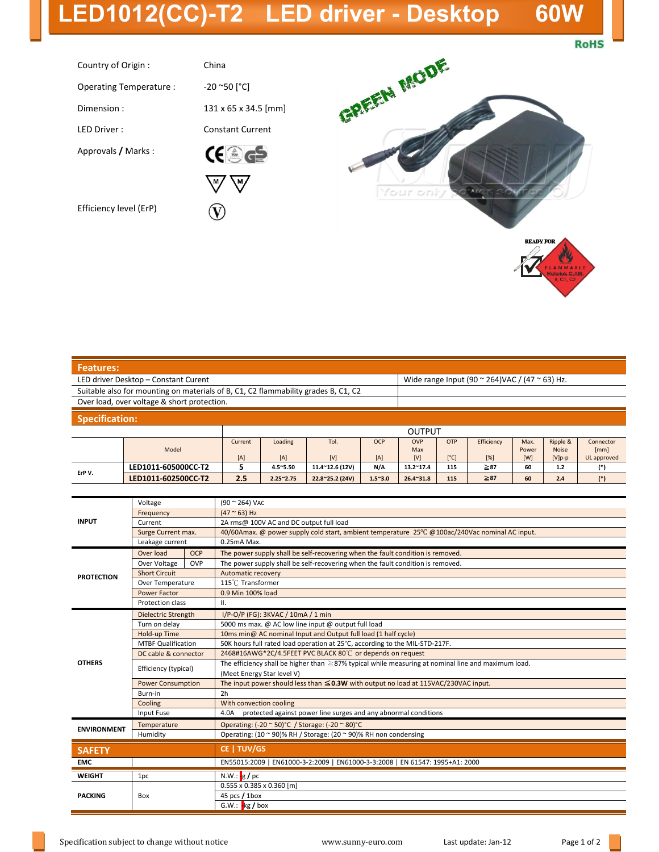## **LED1012(CC)-T2 LED driver - Desktop 60W**

**RoHS** 

| Country of Origin:      | China                                                                                      |
|-------------------------|--------------------------------------------------------------------------------------------|
| Operating Temperature : | -20 ~50 [°C]                                                                               |
| Dimension:              | 131 x 65 x 34.5 [mm]                                                                       |
| I FD Driver:            | <b>Constant Current</b>                                                                    |
| Approvals / Marks:      | $\left(\begin{array}{c} \frac{\triangle}{10x} \\ \frac{\triangle}{10x} \end{array}\right)$ |
|                         |                                                                                            |
| Efficiency level (ErP)  |                                                                                            |



| <b>Features:</b>                                                                   |       |                |                |             |                   |                                                                |                             |                   |                      |                                      |                                  |  |
|------------------------------------------------------------------------------------|-------|----------------|----------------|-------------|-------------------|----------------------------------------------------------------|-----------------------------|-------------------|----------------------|--------------------------------------|----------------------------------|--|
| LED driver Desktop - Constant Curent                                               |       |                |                |             |                   | Wide range Input (90 $\approx$ 264)VAC / (47 $\approx$ 63) Hz. |                             |                   |                      |                                      |                                  |  |
| Suitable also for mounting on materials of B, C1, C2 flammability grades B, C1, C2 |       |                |                |             |                   |                                                                |                             |                   |                      |                                      |                                  |  |
| Over load, over voltage & short protection.                                        |       |                |                |             |                   |                                                                |                             |                   |                      |                                      |                                  |  |
| <b>Specification:</b>                                                              |       |                |                |             |                   |                                                                |                             |                   |                      |                                      |                                  |  |
|                                                                                    |       |                |                |             | <b>OUTPUT</b>     |                                                                |                             |                   |                      |                                      |                                  |  |
|                                                                                    | Model | Current<br>[A] | Loading<br>[A] | Tol.<br>[V] | <b>OCP</b><br>[A] | <b>OVP</b><br>Max<br>[V]                                       | <b>OTP</b><br>$[^{\circ}C]$ | Efficiency<br>[%] | Max.<br>Power<br>[W] | Ripple &<br><b>Noise</b><br>$[V]p-p$ | Connector<br>[mm]<br>UL approved |  |
|                                                                                    |       |                |                |             |                   |                                                                |                             |                   |                      |                                      |                                  |  |

| ErP V.             | LED1011-605000CC-T2       |                      | 5                                                                                              | 4.5~5.50                                                                                                 | 11.4~12.6 (12V) | N/A             | $13.2^{\sim}17.4$ | 115 | $\geq 87$ | 60 | 1.2 | $(*)$ |  |  |
|--------------------|---------------------------|----------------------|------------------------------------------------------------------------------------------------|----------------------------------------------------------------------------------------------------------|-----------------|-----------------|-------------------|-----|-----------|----|-----|-------|--|--|
|                    | LED1011-602500CC-T2       |                      | 2.5                                                                                            | $2.25^{\sim}2.75$                                                                                        | 22.8~25.2 (24V) | $1.5^{\sim}3.0$ | $26.4^{\sim}31.8$ | 115 | $\geq 87$ | 60 | 2.4 | $(*)$ |  |  |
|                    |                           |                      |                                                                                                |                                                                                                          |                 |                 |                   |     |           |    |     |       |  |  |
| <b>INPUT</b>       | Voltage                   |                      |                                                                                                | $(90 \times 264)$ VAC                                                                                    |                 |                 |                   |     |           |    |     |       |  |  |
|                    | Frequency                 |                      |                                                                                                | $(47 ° 63)$ Hz                                                                                           |                 |                 |                   |     |           |    |     |       |  |  |
|                    | Current                   |                      | 2A rms@ 100V AC and DC output full load                                                        |                                                                                                          |                 |                 |                   |     |           |    |     |       |  |  |
|                    | Surge Current max.        |                      | 40/60Amax. @ power supply cold start, ambient temperature 25°C @100ac/240Vac nominal AC input. |                                                                                                          |                 |                 |                   |     |           |    |     |       |  |  |
|                    | Leakage current           |                      | 0.25mA Max.                                                                                    |                                                                                                          |                 |                 |                   |     |           |    |     |       |  |  |
| <b>PROTECTION</b>  | Over load                 | <b>OCP</b>           | The power supply shall be self-recovering when the fault condition is removed.                 |                                                                                                          |                 |                 |                   |     |           |    |     |       |  |  |
|                    | Over Voltage              | OVP                  | The power supply shall be self-recovering when the fault condition is removed.                 |                                                                                                          |                 |                 |                   |     |           |    |     |       |  |  |
|                    | <b>Short Circuit</b>      |                      |                                                                                                | Automatic recovery                                                                                       |                 |                 |                   |     |           |    |     |       |  |  |
|                    |                           | Over Temperature     |                                                                                                | 115℃ Transformer                                                                                         |                 |                 |                   |     |           |    |     |       |  |  |
|                    | <b>Power Factor</b>       |                      |                                                                                                | 0.9 Min 100% load                                                                                        |                 |                 |                   |     |           |    |     |       |  |  |
|                    | Protection class          |                      | ΙΙ.                                                                                            |                                                                                                          |                 |                 |                   |     |           |    |     |       |  |  |
|                    |                           | Dielectric Strength  |                                                                                                | I/P-O/P (FG): 3KVAC / 10mA / 1 min                                                                       |                 |                 |                   |     |           |    |     |       |  |  |
|                    | Turn on delay             |                      | 5000 ms max. @ AC low line input @ output full load                                            |                                                                                                          |                 |                 |                   |     |           |    |     |       |  |  |
|                    | Hold-up Time              |                      | 10ms min@ AC nominal Input and Output full load (1 half cycle)                                 |                                                                                                          |                 |                 |                   |     |           |    |     |       |  |  |
|                    | <b>MTBF Qualification</b> |                      | 50K hours full rated load operation at 25°C, according to the MIL-STD-217F.                    |                                                                                                          |                 |                 |                   |     |           |    |     |       |  |  |
|                    |                           | DC cable & connector |                                                                                                | 2468#16AWG*2C/4.5FEET PVC BLACK 80°C or depends on request                                               |                 |                 |                   |     |           |    |     |       |  |  |
| <b>OTHERS</b>      |                           | Efficiency (typical) |                                                                                                | The efficiency shall be higher than $\geq$ 87% typical while measuring at nominal line and maximum load. |                 |                 |                   |     |           |    |     |       |  |  |
|                    |                           |                      |                                                                                                | (Meet Energy Star level V)                                                                               |                 |                 |                   |     |           |    |     |       |  |  |
|                    | <b>Power Consumption</b>  |                      | The input power should less than $\leq$ 0.3W with output no load at 115VAC/230VAC input.       |                                                                                                          |                 |                 |                   |     |           |    |     |       |  |  |
|                    |                           | Burn-in              |                                                                                                | 2h                                                                                                       |                 |                 |                   |     |           |    |     |       |  |  |
|                    |                           | Cooling              |                                                                                                | With convection cooling                                                                                  |                 |                 |                   |     |           |    |     |       |  |  |
|                    | Input Fuse                |                      | protected against power line surges and any abnormal conditions<br>4.0A                        |                                                                                                          |                 |                 |                   |     |           |    |     |       |  |  |
| <b>ENVIRONMENT</b> | Temperature               |                      |                                                                                                | Operating: (-20 ~ 50) °C / Storage: (-20 ~ 80) °C                                                        |                 |                 |                   |     |           |    |     |       |  |  |
|                    | Humidity                  |                      | Operating: $(10 \text{ ~} 90)$ % RH / Storage: $(20 \text{ ~} 90)$ % RH non condensing         |                                                                                                          |                 |                 |                   |     |           |    |     |       |  |  |
| <b>SAFETY</b>      |                           |                      | CE   TUV/GS                                                                                    |                                                                                                          |                 |                 |                   |     |           |    |     |       |  |  |
| <b>EMC</b>         |                           |                      | EN55015:2009   EN61000-3-2:2009   EN61000-3-3:2008   EN 61547: 1995+A1: 2000                   |                                                                                                          |                 |                 |                   |     |           |    |     |       |  |  |
| <b>WEIGHT</b>      | 1pc                       |                      | N.W.: $g$ / pc                                                                                 |                                                                                                          |                 |                 |                   |     |           |    |     |       |  |  |
| <b>PACKING</b>     |                           |                      | $0.555 \times 0.385 \times 0.360$ [m]                                                          |                                                                                                          |                 |                 |                   |     |           |    |     |       |  |  |
|                    | Box                       |                      | 45 pcs / 1box                                                                                  |                                                                                                          |                 |                 |                   |     |           |    |     |       |  |  |
|                    |                           |                      | $G.W.: \nightharpoonup$ kg / box                                                               |                                                                                                          |                 |                 |                   |     |           |    |     |       |  |  |